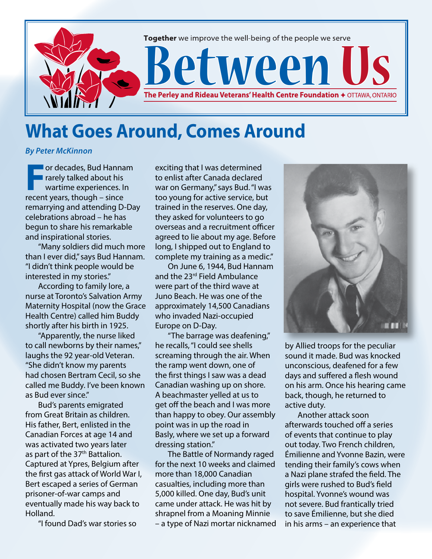

## **What Goes Around, Comes Around**

## *By Peter McKinnon*

**F**or decades, Bud Hannam rarely talked about his wartime experiences. In recent years, though – since remarrying and attending D-Day celebrations abroad – he has begun to share his remarkable and inspirational stories.

"Many soldiers did much more than I ever did," says Bud Hannam. "I didn't think people would be interested in my stories."

According to family lore, a nurse at Toronto's Salvation Army Maternity Hospital (now the Grace Health Centre) called him Buddy shortly after his birth in 1925.

"Apparently, the nurse liked to call newborns by their names," laughs the 92 year-old Veteran. "She didn't know my parents had chosen Bertram Cecil, so she called me Buddy. I've been known as Bud ever since."

Bud's parents emigrated from Great Britain as children. His father, Bert, enlisted in the Canadian Forces at age 14 and was activated two years later as part of the 37<sup>th</sup> Battalion. Captured at Ypres, Belgium after the first gas attack of World War I, Bert escaped a series of German prisoner-of-war camps and eventually made his way back to Holland.

"I found Dad's war stories so

exciting that I was determined to enlist after Canada declared war on Germany," says Bud. "I was too young for active service, but trained in the reserves. One day, they asked for volunteers to go overseas and a recruitment officer agreed to lie about my age. Before long, I shipped out to England to complete my training as a medic."

On June 6, 1944, Bud Hannam and the 23<sup>rd</sup> Field Ambulance were part of the third wave at Juno Beach. He was one of the approximately 14,500 Canadians who invaded Nazi-occupied Europe on D-Day.

"The barrage was deafening," he recalls, "I could see shells screaming through the air. When the ramp went down, one of the first things I saw was a dead Canadian washing up on shore. A beachmaster yelled at us to get off the beach and I was more than happy to obey. Our assembly point was in up the road in Basly, where we set up a forward dressing station."

The Battle of Normandy raged for the next 10 weeks and claimed more than 18,000 Canadian casualties, including more than 5,000 killed. One day, Bud's unit came under attack. He was hit by shrapnel from a Moaning Minnie – a type of Nazi mortar nicknamed



by Allied troops for the peculiar sound it made. Bud was knocked unconscious, deafened for a few days and suffered a flesh wound on his arm. Once his hearing came back, though, he returned to active duty.

Another attack soon afterwards touched off a series of events that continue to play out today. Two French children, Émilienne and Yvonne Bazin, were tending their family's cows when a Nazi plane strafed the field. The girls were rushed to Bud's field hospital. Yvonne's wound was not severe. Bud frantically tried to save Émilienne, but she died in his arms – an experience that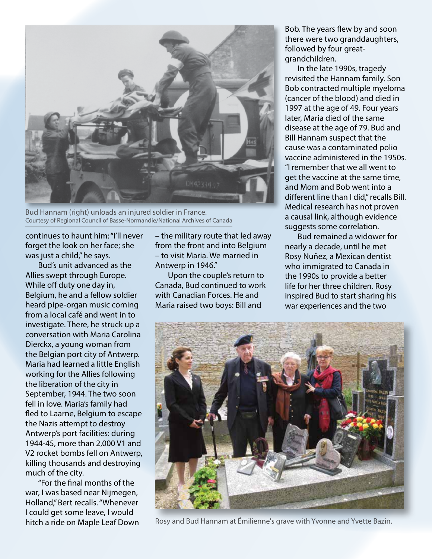

Bud Hannam (right) unloads an injured soldier in France. Courtesy of Regional Council of Basse-Normandie/National Archives of Canada

continues to haunt him: "I'll never forget the look on her face; she was just a child," he says.

Bud's unit advanced as the Allies swept through Europe. While off duty one day in, Belgium, he and a fellow soldier heard pipe-organ music coming from a local café and went in to investigate. There, he struck up a conversation with Maria Carolina Dierckx, a young woman from the Belgian port city of Antwerp. Maria had learned a little English working for the Allies following the liberation of the city in September, 1944. The two soon fell in love. Maria's family had fled to Laarne, Belgium to escape the Nazis attempt to destroy Antwerp's port facilities: during 1944-45, more than 2,000 V1 and V2 rocket bombs fell on Antwerp, killing thousands and destroying much of the city.

"For the final months of the war, I was based near Nijmegen, Holland," Bert recalls. "Whenever I could get some leave, I would hitch a ride on Maple Leaf Down – the military route that led away from the front and into Belgium – to visit Maria. We married in Antwerp in 1946."

Upon the couple's return to Canada, Bud continued to work with Canadian Forces. He and Maria raised two boys: Bill and

Bob. The years flew by and soon there were two granddaughters, followed by four greatgrandchildren.

In the late 1990s, tragedy revisited the Hannam family. Son Bob contracted multiple myeloma (cancer of the blood) and died in 1997 at the age of 49. Four years later, Maria died of the same disease at the age of 79. Bud and Bill Hannam suspect that the cause was a contaminated polio vaccine administered in the 1950s. "I remember that we all went to get the vaccine at the same time, and Mom and Bob went into a different line than I did," recalls Bill. Medical research has not proven a causal link, although evidence suggests some correlation.

Bud remained a widower for nearly a decade, until he met Rosy Nuñez, a Mexican dentist who immigrated to Canada in the 1990s to provide a better life for her three children. Rosy inspired Bud to start sharing his war experiences and the two



Rosy and Bud Hannam at Émilienne's grave with Yvonne and Yvette Bazin.